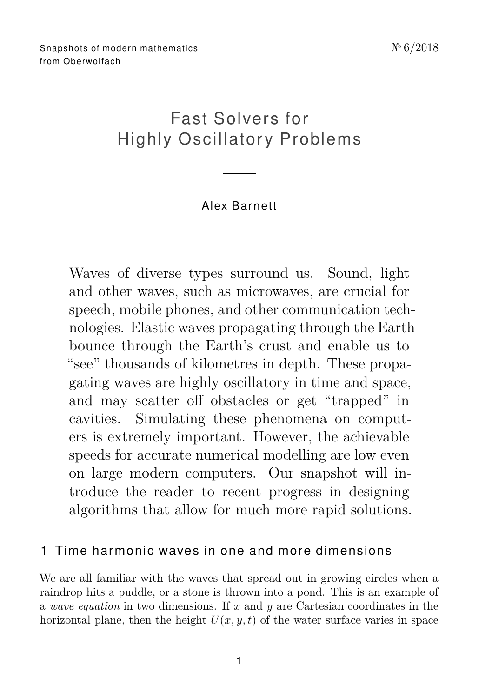# Fast Solvers for Highly Oscillatory Problems

## Alex Ba r nett

Waves of diverse types surround us. Sound, light and other waves, such as microwaves, are crucial for speech, mobile phones, and other communication technologies. Elastic waves propagating through the Earth bounce through the Earth's crust and enable us to "see" thousands of kilometres in depth. These propagating waves are highly oscillatory in time and space, and may scatter off obstacles or get "trapped" in cavities. Simulating these phenomena on computers is extremely important. However, the achievable speeds for accurate numerical modelling are low even on large modern computers. Our snapshot will introduce the reader to recent progress in designing algorithms that allow for much more rapid solutions.

### 1 Time harmonic waves in one and more dimensions

We are all familiar with the waves that spread out in growing circles when a raindrop hits a puddle, or a stone is thrown into a pond. This is an example of a *wave equation* in two dimensions. If *x* and *y* are Cartesian coordinates in the horizontal plane, then the height  $U(x, y, t)$  of the water surface varies in space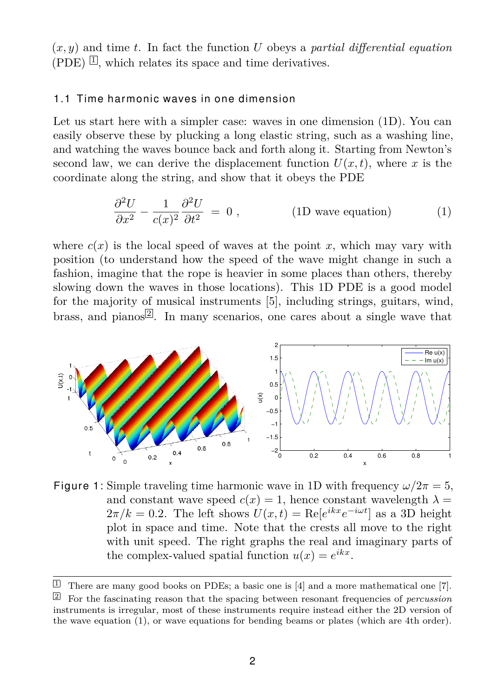(*x, y*) and time *t*. In fact the function *U* obeys a *partial differential equation*  $(PDE)$   $\Box$ , which relates its space and time derivatives.

#### 1.1 Time harmonic waves in one dimension

Let us start here with a simpler case: waves in one dimension (1D). You can easily observe these by plucking a long elastic string, such as a washing line, and watching the waves bounce back and forth along it. Starting from Newton's second law, we can derive the displacement function  $U(x,t)$ , where x is the coordinate along the string, and show that it obeys the PDE

<span id="page-1-2"></span>
$$
\frac{\partial^2 U}{\partial x^2} - \frac{1}{c(x)^2} \frac{\partial^2 U}{\partial t^2} = 0 , \qquad (1D \text{ wave equation}) \qquad (1)
$$

where  $c(x)$  is the local speed of waves at the point x, which may vary with position (to understand how the speed of the wave might change in such a fashion, imagine that the rope is heavier in some places than others, thereby slowing down the waves in those locations). This 1D PDE is a good model for the majority of musical instruments [\[5\]](#page-10-0), including strings, guitars, wind, brass, and pianos  $\mathbb{Z}$ . In many scenarios, one cares about a single wave that



<span id="page-1-3"></span>Figure 1: Simple traveling time harmonic wave in 1D with frequency  $\omega/2\pi = 5$ , and constant wave speed  $c(x) = 1$ , hence constant wavelength  $\lambda =$  $2\pi/k = 0.2$ . The left shows  $U(x,t) = \text{Re}[e^{ikx}e^{-i\omega t}]$  as a 3D height plot in space and time. Note that the crests all move to the right with unit speed. The right graphs the real and imaginary parts of the complex-valued spatial function  $u(x) = e^{ikx}$ .

<span id="page-1-1"></span><span id="page-1-0"></span> $\Box$  There are many good books on PDEs; a basic one is [\[4\]](#page-10-1) and a more mathematical one [\[7\]](#page-10-2). <sup>2</sup> For the fascinating reason that the spacing between resonant frequencies of *percussion* instruments is irregular, most of these instruments require instead either the 2D version of the wave equation [\(1\)](#page-1-2), or wave equations for bending beams or plates (which are 4th order).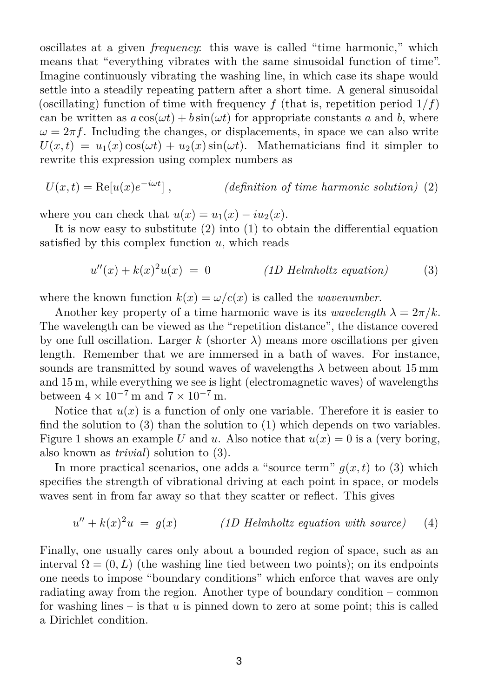oscillates at a given *frequency*: this wave is called "time harmonic," which means that "everything vibrates with the same sinusoidal function of time". Imagine continuously vibrating the washing line, in which case its shape would settle into a steadily repeating pattern after a short time. A general sinusoidal (oscillating) function of time with frequency f (that is, repetition period  $1/f$ ) can be written as  $a \cos(\omega t) + b \sin(\omega t)$  for appropriate constants a and b, where  $\omega = 2\pi f$ . Including the changes, or displacements, in space we can also write  $U(x,t) = u_1(x) \cos(\omega t) + u_2(x) \sin(\omega t)$ . Mathematicians find it simpler to rewrite this expression using complex numbers as

$$
U(x,t) = \text{Re}[u(x)e^{-i\omega t}], \qquad (definition of time harmonic solution) (2)
$$

where you can check that  $u(x) = u_1(x) - iu_2(x)$ .

It is now easy to substitute  $(2)$  into  $(1)$  to obtain the differential equation satisfied by this complex function *u*, which reads

<span id="page-2-1"></span><span id="page-2-0"></span>
$$
u''(x) + k(x)^2 u(x) = 0
$$
 (1D Helmholtz equation) (3)

where the known function  $k(x) = \omega/c(x)$  is called the *wavenumber*.

Another key property of a time harmonic wave is its *wavelength*  $\lambda = 2\pi/k$ . The wavelength can be viewed as the "repetition distance", the distance covered by one full oscillation. Larger  $k$  (shorter  $\lambda$ ) means more oscillations per given length. Remember that we are immersed in a bath of waves. For instance, sounds are transmitted by sound waves of wavelengths  $\lambda$  between about 15 mm and 15 m, while everything we see is light (electromagnetic waves) of wavelengths between  $4 \times 10^{-7}$  m and  $7 \times 10^{-7}$  m.

Notice that  $u(x)$  is a function of only one variable. Therefore it is easier to find the solution to  $(3)$  than the solution to  $(1)$  which depends on two variables. Figure [1](#page-1-3) shows an example *U* and *u*. Also notice that  $u(x) = 0$  is a (very boring, also known as *trivial*) solution to [\(3\)](#page-2-1).

In more practical scenarios, one adds a "source term"  $q(x,t)$  to [\(3\)](#page-2-1) which specifies the strength of vibrational driving at each point in space, or models waves sent in from far away so that they scatter or reflect. This gives

<span id="page-2-2"></span>
$$
u'' + k(x)^2 u = g(x) \qquad (1D \text{ Helmholtz equation with source}) \qquad (4)
$$

Finally, one usually cares only about a bounded region of space, such as an interval  $\Omega = (0, L)$  (the washing line tied between two points); on its endpoints one needs to impose "boundary conditions" which enforce that waves are only radiating away from the region. Another type of boundary condition – common for washing lines – is that *u* is pinned down to zero at some point; this is called a Dirichlet condition.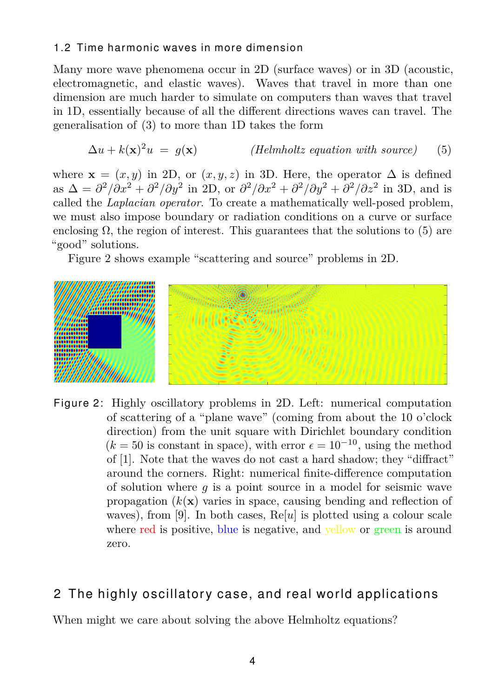#### 1.2 Time harmonic waves in more dimension

Many more wave phenomena occur in 2D (surface waves) or in 3D (acoustic, electromagnetic, and elastic waves). Waves that travel in more than one dimension are much harder to simulate on computers than waves that travel in 1D, essentially because of all the different directions waves can travel. The generalisation of [\(3\)](#page-2-1) to more than 1D takes the form

<span id="page-3-0"></span>
$$
\Delta u + k(\mathbf{x})^2 u = g(\mathbf{x}) \qquad \text{(Helmholtz equation with source)} \tag{5}
$$

where  $\mathbf{x} = (x, y)$  in 2D, or  $(x, y, z)$  in 3D. Here, the operator  $\Delta$  is defined as  $\Delta = \frac{\partial^2}{\partial x^2} + \frac{\partial^2}{\partial y^2}$  in 2D, or  $\frac{\partial^2}{\partial x^2} + \frac{\partial^2}{\partial y^2} + \frac{\partial^2}{\partial z^2}$  in 3D, and is called the *Laplacian operator*. To create a mathematically well-posed problem, we must also impose boundary or radiation conditions on a curve or surface enclosing  $\Omega$ , the region of interest. This guarantees that the solutions to [\(5\)](#page-3-0) are "good" solutions.

Figure [2](#page-3-1) shows example "scattering and source" problems in 2D.



<span id="page-3-1"></span>Figure 2: Highly oscillatory problems in 2D. Left: numerical computation of scattering of a "plane wave" (coming from about the 10 o'clock direction) from the unit square with Dirichlet boundary condition  $(k = 50$  is constant in space), with error  $\epsilon = 10^{-10}$ , using the method of [\[1\]](#page-9-0). Note that the waves do not cast a hard shadow; they "diffract" around the corners. Right: numerical finite-difference computation of solution where *g* is a point source in a model for seismic wave propagation  $(k(\mathbf{x}))$  varies in space, causing bending and reflection of waves), from [\[9\]](#page-10-3). In both cases, Re[*u*] is plotted using a colour scale where red is positive, blue is negative, and vellow or green is around zero.

## 2 The highly oscillatory case, and real world applications

When might we care about solving the above Helmholtz equations?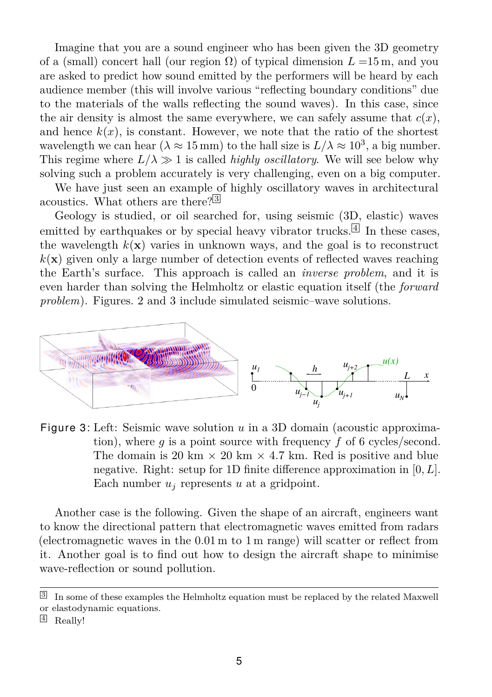Imagine that you are a sound engineer who has been given the 3D geometry of a (small) concert hall (our region  $\Omega$ ) of typical dimension  $L = 15$  m, and you are asked to predict how sound emitted by the performers will be heard by each audience member (this will involve various "reflecting boundary conditions" due to the materials of the walls reflecting the sound waves). In this case, since the air density is almost the same everywhere, we can safely assume that  $c(x)$ , and hence  $k(x)$ , is constant. However, we note that the ratio of the shortest wavelength we can hear  $(\lambda \approx 15 \text{ mm})$  to the hall size is  $L/\lambda \approx 10^3$ , a big number. This regime where  $L/\lambda \gg 1$  is called *highly oscillatory*. We will see below why solving such a problem accurately is very challenging, even on a big computer.

We have just seen an example of highly oscillatory waves in architectural acoustics. What others are there?<sup>[3](#page-4-0)</sup>

Geology is studied, or oil searched for, using seismic (3D, elastic) waves emitted by earthquakes or by special heavy vibrator trucks.<sup>[[4](#page-4-1)]</sup> In these cases, the wavelength  $k(x)$  varies in unknown ways, and the goal is to reconstruct  $k(\mathbf{x})$  given only a large number of detection events of reflected waves reaching the Earth's surface. This approach is called an *inverse problem*, and it is even harder than solving the Helmholtz or elastic equation itself (the *forward problem*). Figures. [2](#page-3-1) and [3](#page-4-2) include simulated seismic–wave solutions.



<span id="page-4-2"></span>Figure 3: Left: Seismic wave solution *u* in a 3D domain (acoustic approximation), where *g* is a point source with frequency *f* of 6 cycles/second. The domain is 20 km  $\times$  20 km  $\times$  4.7 km. Red is positive and blue negative. Right: setup for 1D finite difference approximation in [0*, L*]. Each number  $u_i$  represents  $u$  at a gridpoint.

Another case is the following. Given the shape of an aircraft, engineers want to know the directional pattern that electromagnetic waves emitted from radars (electromagnetic waves in the 0*.*01 m to 1 m range) will scatter or reflect from it. Another goal is to find out how to design the aircraft shape to minimise wave-reflection or sound pollution.

<span id="page-4-0"></span><sup>3</sup> In some of these examples the Helmholtz equation must be replaced by the related Maxwell or elastodynamic equations.

<span id="page-4-1"></span> $4$  Really!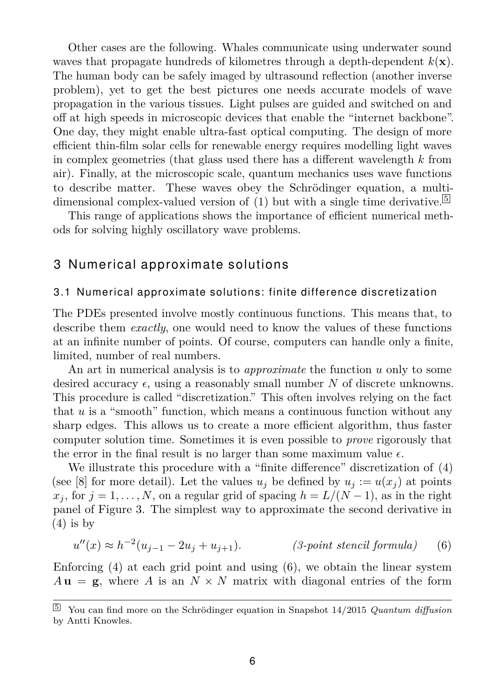Other cases are the following. Whales communicate using underwater sound waves that propagate hundreds of kilometres through a depth-dependent  $k(\mathbf{x})$ . The human body can be safely imaged by ultrasound reflection (another inverse problem), yet to get the best pictures one needs accurate models of wave propagation in the various tissues. Light pulses are guided and switched on and off at high speeds in microscopic devices that enable the "internet backbone". One day, they might enable ultra-fast optical computing. The design of more efficient thin-film solar cells for renewable energy requires modelling light waves in complex geometries (that glass used there has a different wavelength *k* from air). Finally, at the microscopic scale, quantum mechanics uses wave functions to describe matter. These waves obey the Schrödinger equation, a multi-dimensional complex-valued version of [\(1\)](#page-1-2) but with a single time derivative.<sup>[5](#page-5-0)</sup>

This range of applications shows the importance of efficient numerical methods for solving highly oscillatory wave problems.

### 3 Numerical approximate solutions

#### 3.1 Numerical approximate solutions: finite difference discretization

The PDEs presented involve mostly continuous functions. This means that, to describe them *exactly*, one would need to know the values of these functions at an infinite number of points. Of course, computers can handle only a finite, limited, number of real numbers.

An art in numerical analysis is to *approximate* the function *u* only to some desired accuracy  $\epsilon$ , using a reasonably small number N of discrete unknowns. This procedure is called "discretization." This often involves relying on the fact that *u* is a "smooth" function, which means a continuous function without any sharp edges. This allows us to create a more efficient algorithm, thus faster computer solution time. Sometimes it is even possible to *prove* rigorously that the error in the final result is no larger than some maximum value  $\epsilon$ .

We illustrate this procedure with a "finite difference" discretization of [\(4\)](#page-2-2) (see [\[8\]](#page-10-4) for more detail). Let the values  $u_j$  be defined by  $u_j := u(x_j)$  at points  $x_j$ , for  $j = 1, \ldots, N$ , on a regular grid of spacing  $h = L/(N-1)$ , as in the right panel of Figure [3.](#page-4-2) The simplest way to approximate the second derivative in  $(4)$  is by

<span id="page-5-1"></span>
$$
u''(x) \approx h^{-2}(u_{j-1} - 2u_j + u_{j+1}).
$$
 (3-point stencil formula) (6)

Enforcing  $(4)$  at each grid point and using  $(6)$ , we obtain the linear system  $A$ **u** = **g**, where *A* is an  $N \times N$  matrix with diagonal entries of the form

<span id="page-5-0"></span><sup>5</sup> You can find more on the Schrödinger equation in [Snapshot 14/2015](https://publications.mfo.de/handle/mfo/441) *Quantum diffusion* by Antti Knowles.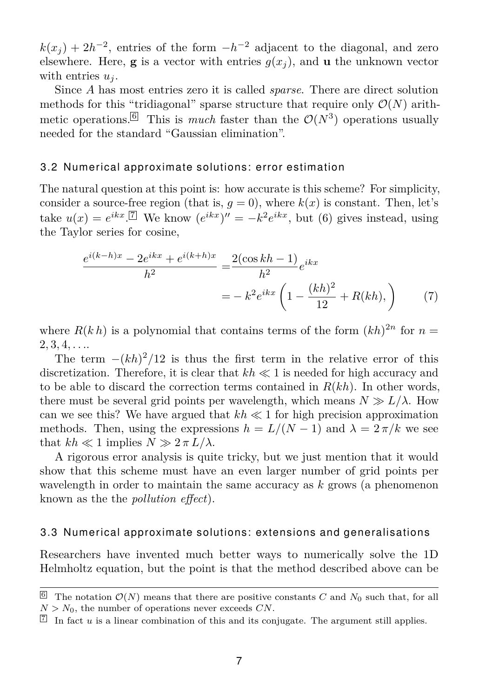$k(x_j) + 2h^{-2}$ , entries of the form  $-h^{-2}$  adjacent to the diagonal, and zero elsewhere. Here, **g** is a vector with entries  $g(x_i)$ , and **u** the unknown vector with entries *u<sup>j</sup>* .

Since *A* has most entries zero it is called *sparse*. There are direct solution methods for this "tridiagonal" sparse structure that require only  $\mathcal{O}(N)$  arith-metic operations.<sup>[[6](#page-6-0)]</sup> This is *much* faster than the  $\mathcal{O}(N^3)$  operations usually needed for the standard "Gaussian elimination".

#### 3.2 Numerical approximate solutions: error estimation

The natural question at this point is: how accurate is this scheme? For simplicity, consider a source-free region (that is,  $q = 0$ ), where  $k(x)$  is constant. Then, let's take  $u(x) = e^{ikx}$ .<sup>[[7](#page-6-1)]</sup> We know  $(e^{ikx})'' = -k^2 e^{ikx}$ , but [\(6\)](#page-5-1) gives instead, using the Taylor series for cosine,

$$
\frac{e^{i(k-h)x} - 2e^{ikx} + e^{i(k+h)x}}{h^2} = \frac{2(\cos kh - 1)}{h^2}e^{ikx}
$$

$$
= -k^2e^{ikx} \left(1 - \frac{(kh)^2}{12} + R(kh),\right) \tag{7}
$$

where  $R(k h)$  is a polynomial that contains terms of the form  $(k h)^{2n}$  for  $n =$ 2*,* 3*,* 4*, . . .*.

The term  $-(kh)^2/12$  is thus the first term in the relative error of this discretization. Therefore, it is clear that  $kh \ll 1$  is needed for high accuracy and to be able to discard the correction terms contained in *R*(*kh*). In other words, there must be several grid points per wavelength, which means  $N \gg L/\lambda$ . How can we see this? We have argued that  $kh \ll 1$  for high precision approximation methods. Then, using the expressions  $h = L/(N-1)$  and  $\lambda = 2\pi/k$  we see that  $kh \ll 1$  implies  $N \gg 2 \pi L/\lambda$ .

A rigorous error analysis is quite tricky, but we just mention that it would show that this scheme must have an even larger number of grid points per wavelength in order to maintain the same accuracy as *k* grows (a phenomenon known as the the *pollution effect*).

#### 3.3 Numerical approximate solutions: extensions and generalisations

Researchers have invented much better ways to numerically solve the 1D Helmholtz equation, but the point is that the method described above can be

<span id="page-6-0"></span><sup>&</sup>lt;sup>6</sup> The notation  $\mathcal{O}(N)$  means that there are positive constants *C* and  $N_0$  such that, for all  $N > N_0$ , the number of operations never exceeds *CN*.

<span id="page-6-1"></span> $\mathbb{Z}$  In fact *u* is a linear combination of this and its conjugate. The argument still applies.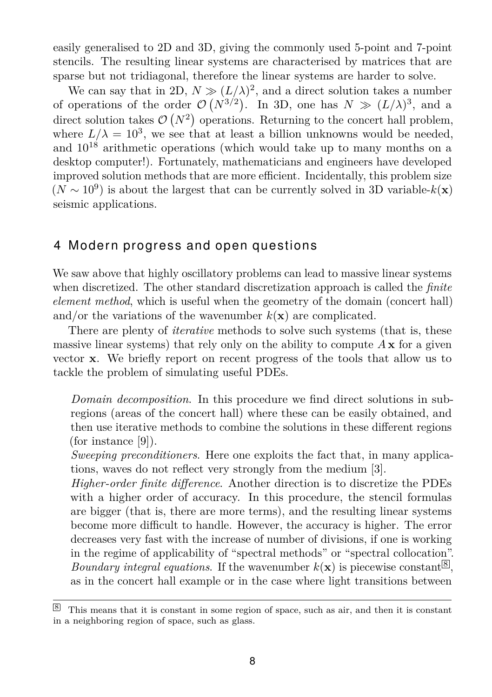easily generalised to 2D and 3D, giving the commonly used 5-point and 7-point stencils. The resulting linear systems are characterised by matrices that are sparse but not tridiagonal, therefore the linear systems are harder to solve.

We can say that in 2D,  $N \gg (L/\lambda)^2$ , and a direct solution takes a number of operations of the order  $\mathcal{O}(N^{3/2})$ . In 3D, one has  $N \gg (L/\lambda)^3$ , and a direct solution takes  $\mathcal{O}(N^2)$  operations. Returning to the concert hall problem, where  $L/\lambda = 10^3$ , we see that at least a billion unknowns would be needed, and  $10^{18}$  arithmetic operations (which would take up to many months on a desktop computer!). Fortunately, mathematicians and engineers have developed improved solution methods that are more efficient. Incidentally, this problem size  $(N \sim 10^9)$  is about the largest that can be currently solved in 3D variable- $k(\mathbf{x})$ seismic applications.

### 4 Modern progress and open questions

We saw above that highly oscillatory problems can lead to massive linear systems when discretized. The other standard discretization approach is called the *finite element method*, which is useful when the geometry of the domain (concert hall) and/or the variations of the wavenumber  $k(\mathbf{x})$  are complicated.

There are plenty of *iterative* methods to solve such systems (that is, these massive linear systems) that rely only on the ability to compute  $A\mathbf{x}$  for a given vector **x**. We briefly report on recent progress of the tools that allow us to tackle the problem of simulating useful PDEs.

*Domain decomposition*. In this procedure we find direct solutions in subregions (areas of the concert hall) where these can be easily obtained, and then use iterative methods to combine the solutions in these different regions (for instance [\[9\]](#page-10-3)).

*Sweeping preconditioners*. Here one exploits the fact that, in many applications, waves do not reflect very strongly from the medium [\[3\]](#page-9-1).

*Higher-order finite difference*. Another direction is to discretize the PDEs with a higher order of accuracy. In this procedure, the stencil formulas are bigger (that is, there are more terms), and the resulting linear systems become more difficult to handle. However, the accuracy is higher. The error decreases very fast with the increase of number of divisions, if one is working in the regime of applicability of "spectral methods" or "spectral collocation". *Boundary integral equations.* If the wavenumber  $k(\mathbf{x})$  is piecewise constant  $\mathbb{B}$ , as in the concert hall example or in the case where light transitions between

<span id="page-7-0"></span><sup>8</sup> This means that it is constant in some region of space, such as air, and then it is constant in a neighboring region of space, such as glass.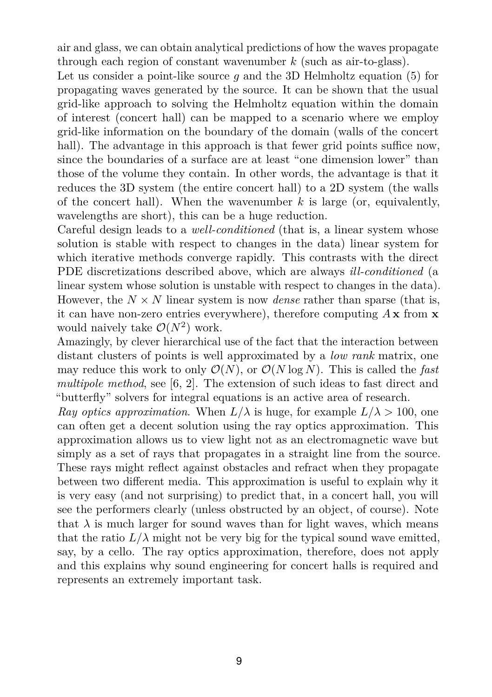air and glass, we can obtain analytical predictions of how the waves propagate through each region of constant wavenumber *k* (such as air-to-glass).

Let us consider a point-like source  $q$  and the 3D Helmholtz equation  $(5)$  for propagating waves generated by the source. It can be shown that the usual grid-like approach to solving the Helmholtz equation within the domain of interest (concert hall) can be mapped to a scenario where we employ grid-like information on the boundary of the domain (walls of the concert hall). The advantage in this approach is that fewer grid points suffice now. since the boundaries of a surface are at least "one dimension lower" than those of the volume they contain. In other words, the advantage is that it reduces the 3D system (the entire concert hall) to a 2D system (the walls of the concert hall). When the wavenumber *k* is large (or, equivalently, wavelengths are short), this can be a huge reduction.

Careful design leads to a *well-conditioned* (that is, a linear system whose solution is stable with respect to changes in the data) linear system for which iterative methods converge rapidly. This contrasts with the direct PDE discretizations described above, which are always *ill-conditioned* (a linear system whose solution is unstable with respect to changes in the data). However, the  $N \times N$  linear system is now *dense* rather than sparse (that is, it can have non-zero entries everywhere), therefore computing *A* **x** from **x** would naively take  $\mathcal{O}(N^2)$  work.

Amazingly, by clever hierarchical use of the fact that the interaction between distant clusters of points is well approximated by a *low rank* matrix, one may reduce this work to only  $\mathcal{O}(N)$ , or  $\mathcal{O}(N \log N)$ . This is called the *fast multipole method*, see [\[6,](#page-10-5) [2\]](#page-9-2). The extension of such ideas to fast direct and "butterfly" solvers for integral equations is an active area of research.

*Ray optics approximation.* When  $L/\lambda$  is huge, for example  $L/\lambda > 100$ , one can often get a decent solution using the ray optics approximation. This approximation allows us to view light not as an electromagnetic wave but simply as a set of rays that propagates in a straight line from the source. These rays might reflect against obstacles and refract when they propagate between two different media. This approximation is useful to explain why it is very easy (and not surprising) to predict that, in a concert hall, you will see the performers clearly (unless obstructed by an object, of course). Note that  $\lambda$  is much larger for sound waves than for light waves, which means that the ratio  $L/\lambda$  might not be very big for the typical sound wave emitted, say, by a cello. The ray optics approximation, therefore, does not apply and this explains why sound engineering for concert halls is required and represents an extremely important task.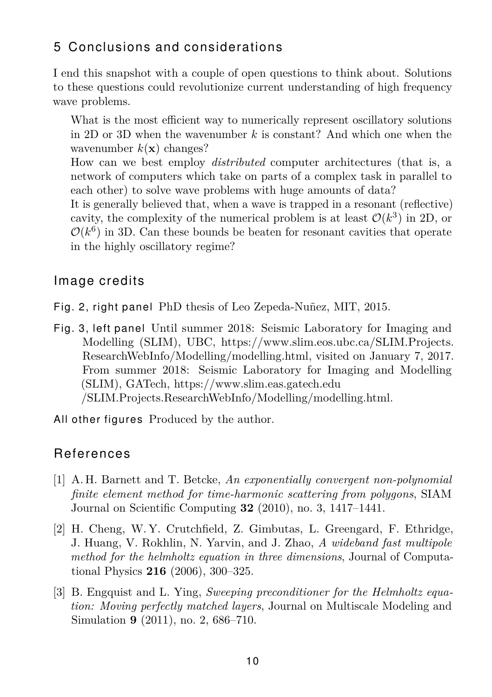## 5 Conclusions and considerations

I end this snapshot with a couple of open questions to think about. Solutions to these questions could revolutionize current understanding of high frequency wave problems.

What is the most efficient way to numerically represent oscillatory solutions in 2D or 3D when the wavenumber *k* is constant? And which one when the wavenumber  $k(\mathbf{x})$  changes?

How can we best employ *distributed* computer architectures (that is, a network of computers which take on parts of a complex task in parallel to each other) to solve wave problems with huge amounts of data?

It is generally believed that, when a wave is trapped in a resonant (reflective) cavity, the complexity of the numerical problem is at least  $\mathcal{O}(k^3)$  in 2D, or  $\mathcal{O}(k^6)$  in 3D. Can these bounds be beaten for resonant cavities that operate in the highly oscillatory regime?

## Image credits

- Fig. [2,](#page-3-1) right panel PhD thesis of Leo Zepeda-Nuñez, MIT, 2015.
- Fig. [3,](#page-4-2) left panel Until summer 2018: Seismic Laboratory for Imaging and Modelling (SLIM), UBC, [https://www.slim.eos.ubc.ca/SLIM.Projects.](https://www.slim.eos.ubc.ca/SLIM.Projects.ResearchWebInfo/Modelling/modelling.html) [ResearchWebInfo/Modelling/modelling.html,](https://www.slim.eos.ubc.ca/SLIM.Projects.ResearchWebInfo/Modelling/modelling.html) visited on January 7, 2017. From summer 2018: Seismic Laboratory for Imaging and Modelling (SLIM), GATech,<https://www.slim.eas.gatech.edu> [/SLIM.Projects.ResearchWebInfo/Modelling/modelling.html.](/SLIM.Projects.ResearchWebInfo/Modelling/modelling.html)
- All other figures Produced by the author.

## **References**

- <span id="page-9-0"></span>[1] A. H. Barnett and T. Betcke, *An exponentially convergent non-polynomial finite element method for time-harmonic scattering from polygons*, SIAM Journal on Scientific Computing **32** (2010), no. 3, 1417–1441.
- <span id="page-9-2"></span>[2] H. Cheng, W. Y. Crutchfield, Z. Gimbutas, L. Greengard, F. Ethridge, J. Huang, V. Rokhlin, N. Yarvin, and J. Zhao, *A wideband fast multipole method for the helmholtz equation in three dimensions*, Journal of Computational Physics **216** (2006), 300–325.
- <span id="page-9-1"></span>[3] B. Engquist and L. Ying, *Sweeping preconditioner for the Helmholtz equation: Moving perfectly matched layers*, Journal on Multiscale Modeling and Simulation **9** (2011), no. 2, 686–710.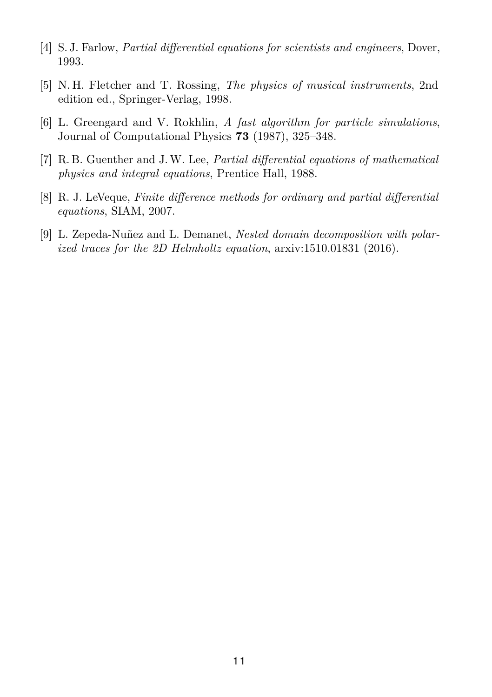- <span id="page-10-1"></span>[4] S. J. Farlow, *Partial differential equations for scientists and engineers*, Dover, 1993.
- <span id="page-10-0"></span>[5] N. H. Fletcher and T. Rossing, *The physics of musical instruments*, 2nd edition ed., Springer-Verlag, 1998.
- <span id="page-10-5"></span>[6] L. Greengard and V. Rokhlin, *A fast algorithm for particle simulations*, Journal of Computational Physics **73** (1987), 325–348.
- <span id="page-10-2"></span>[7] R. B. Guenther and J.W. Lee, *Partial differential equations of mathematical physics and integral equations*, Prentice Hall, 1988.
- <span id="page-10-4"></span>[8] R. J. LeVeque, *Finite difference methods for ordinary and partial differential equations*, SIAM, 2007.
- <span id="page-10-3"></span>[9] L. Zepeda-Nuñez and L. Demanet, *Nested domain decomposition with polarized traces for the 2D Helmholtz equation*, arxiv:1510.01831 (2016).